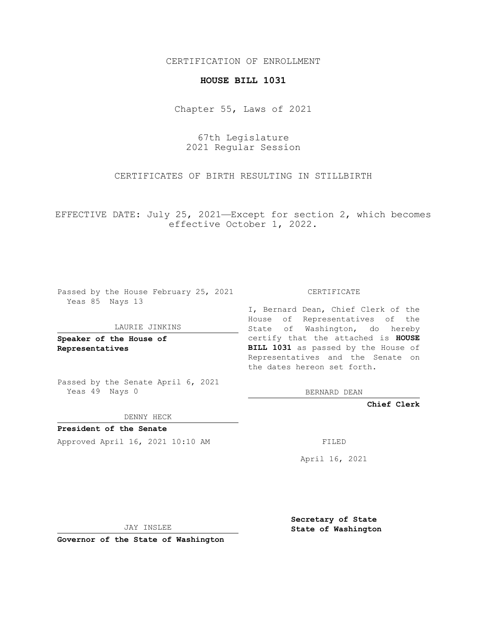## CERTIFICATION OF ENROLLMENT

## **HOUSE BILL 1031**

Chapter 55, Laws of 2021

67th Legislature 2021 Regular Session

CERTIFICATES OF BIRTH RESULTING IN STILLBIRTH

EFFECTIVE DATE: July 25, 2021—Except for section 2, which becomes effective October 1, 2022.

Passed by the House February 25, 2021 Yeas 85 Nays 13

## LAURIE JINKINS

**Speaker of the House of Representatives**

Passed by the Senate April 6, 2021 Yeas 49 Nays 0

DENNY HECK

**President of the Senate** Approved April 16, 2021 10:10 AM FILED

CERTIFICATE

I, Bernard Dean, Chief Clerk of the House of Representatives of the State of Washington, do hereby certify that the attached is **HOUSE BILL 1031** as passed by the House of Representatives and the Senate on the dates hereon set forth.

BERNARD DEAN

**Chief Clerk**

April 16, 2021

JAY INSLEE

**Governor of the State of Washington**

**Secretary of State State of Washington**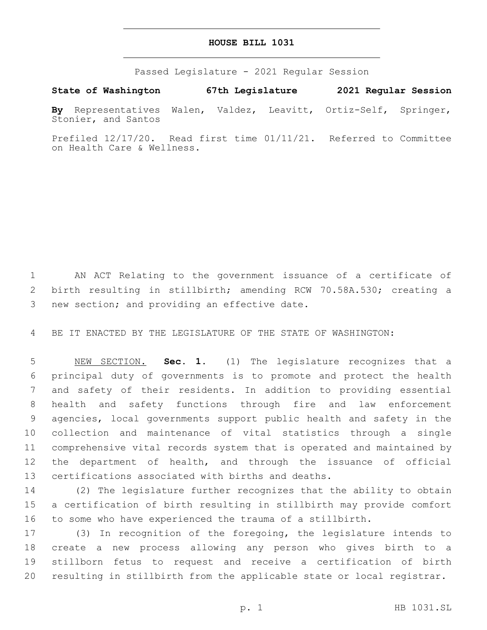## **HOUSE BILL 1031**

Passed Legislature - 2021 Regular Session

**State of Washington 67th Legislature 2021 Regular Session**

**By** Representatives Walen, Valdez, Leavitt, Ortiz-Self, Springer, Stonier, and Santos

Prefiled 12/17/20. Read first time 01/11/21. Referred to Committee on Health Care & Wellness.

 AN ACT Relating to the government issuance of a certificate of birth resulting in stillbirth; amending RCW 70.58A.530; creating a 3 new section; and providing an effective date.

BE IT ENACTED BY THE LEGISLATURE OF THE STATE OF WASHINGTON:

 NEW SECTION. **Sec. 1.** (1) The legislature recognizes that a principal duty of governments is to promote and protect the health and safety of their residents. In addition to providing essential health and safety functions through fire and law enforcement agencies, local governments support public health and safety in the collection and maintenance of vital statistics through a single comprehensive vital records system that is operated and maintained by the department of health, and through the issuance of official certifications associated with births and deaths.

 (2) The legislature further recognizes that the ability to obtain a certification of birth resulting in stillbirth may provide comfort to some who have experienced the trauma of a stillbirth.

 (3) In recognition of the foregoing, the legislature intends to create a new process allowing any person who gives birth to a stillborn fetus to request and receive a certification of birth resulting in stillbirth from the applicable state or local registrar.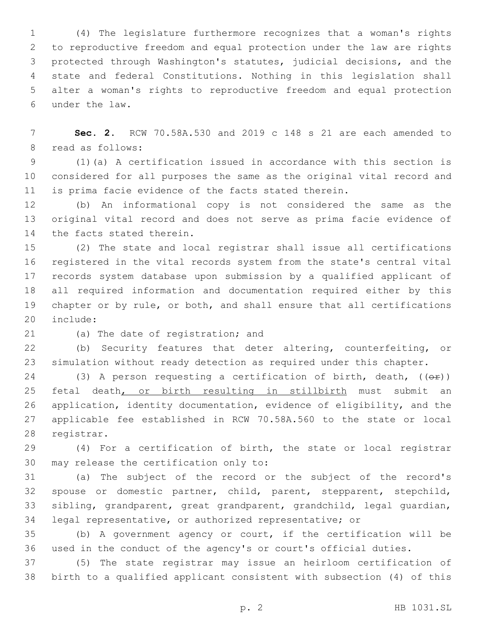(4) The legislature furthermore recognizes that a woman's rights to reproductive freedom and equal protection under the law are rights protected through Washington's statutes, judicial decisions, and the state and federal Constitutions. Nothing in this legislation shall alter a woman's rights to reproductive freedom and equal protection under the law.6

 **Sec. 2.** RCW 70.58A.530 and 2019 c 148 s 21 are each amended to 8 read as follows:

 (1)(a) A certification issued in accordance with this section is considered for all purposes the same as the original vital record and is prima facie evidence of the facts stated therein.

 (b) An informational copy is not considered the same as the original vital record and does not serve as prima facie evidence of 14 the facts stated therein.

 (2) The state and local registrar shall issue all certifications registered in the vital records system from the state's central vital records system database upon submission by a qualified applicant of all required information and documentation required either by this chapter or by rule, or both, and shall ensure that all certifications 20 include:

21 (a) The date of registration; and

 (b) Security features that deter altering, counterfeiting, or simulation without ready detection as required under this chapter.

24 (3) A person requesting a certification of birth, death,  $(\theta \hat{r})$ 25 fetal death, or birth resulting in stillbirth must submit an application, identity documentation, evidence of eligibility, and the applicable fee established in RCW 70.58A.560 to the state or local 28 registrar.

 (4) For a certification of birth, the state or local registrar 30 may release the certification only to:

 (a) The subject of the record or the subject of the record's spouse or domestic partner, child, parent, stepparent, stepchild, sibling, grandparent, great grandparent, grandchild, legal guardian, legal representative, or authorized representative; or

 (b) A government agency or court, if the certification will be used in the conduct of the agency's or court's official duties.

 (5) The state registrar may issue an heirloom certification of birth to a qualified applicant consistent with subsection (4) of this

p. 2 HB 1031.SL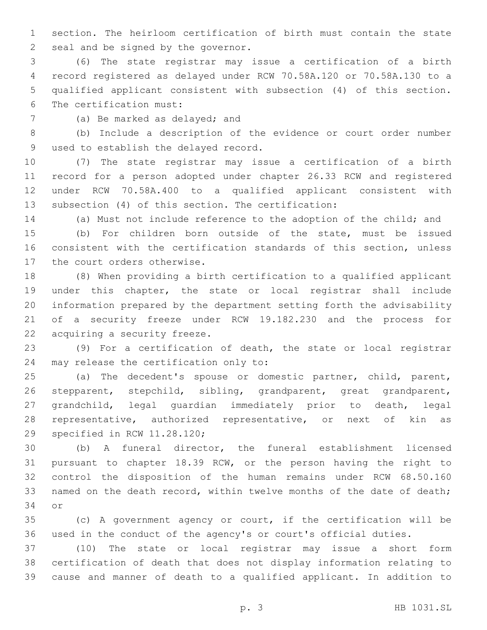section. The heirloom certification of birth must contain the state 2 seal and be signed by the governor.

 (6) The state registrar may issue a certification of a birth record registered as delayed under RCW 70.58A.120 or 70.58A.130 to a qualified applicant consistent with subsection (4) of this section. 6 The certification must:

7 (a) Be marked as delayed; and

 (b) Include a description of the evidence or court order number 9 used to establish the delayed record.

 (7) The state registrar may issue a certification of a birth record for a person adopted under chapter 26.33 RCW and registered under RCW 70.58A.400 to a qualified applicant consistent with subsection (4) of this section. The certification:

(a) Must not include reference to the adoption of the child; and

 (b) For children born outside of the state, must be issued consistent with the certification standards of this section, unless 17 the court orders otherwise.

 (8) When providing a birth certification to a qualified applicant under this chapter, the state or local registrar shall include information prepared by the department setting forth the advisability of a security freeze under RCW 19.182.230 and the process for 22 acquiring a security freeze.

 (9) For a certification of death, the state or local registrar 24 may release the certification only to:

 (a) The decedent's spouse or domestic partner, child, parent, stepparent, stepchild, sibling, grandparent, great grandparent, grandchild, legal guardian immediately prior to death, legal representative, authorized representative, or next of kin as 29 specified in RCW 11.28.120;

 (b) A funeral director, the funeral establishment licensed pursuant to chapter 18.39 RCW, or the person having the right to control the disposition of the human remains under RCW 68.50.160 33 named on the death record, within twelve months of the date of death; 34 or

 (c) A government agency or court, if the certification will be used in the conduct of the agency's or court's official duties.

 (10) The state or local registrar may issue a short form certification of death that does not display information relating to cause and manner of death to a qualified applicant. In addition to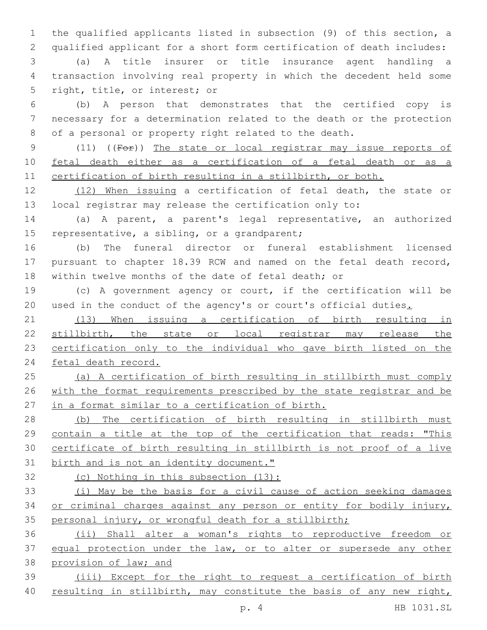the qualified applicants listed in subsection (9) of this section, a qualified applicant for a short form certification of death includes:

 (a) A title insurer or title insurance agent handling a transaction involving real property in which the decedent held some 5 right, title, or interest; or

 (b) A person that demonstrates that the certified copy is necessary for a determination related to the death or the protection of a personal or property right related to the death.

 (11) ((For)) The state or local registrar may issue reports of fetal death either as a certification of a fetal death or as a certification of birth resulting in a stillbirth, or both.

 (12) When issuing a certification of fetal death, the state or local registrar may release the certification only to:

 (a) A parent, a parent's legal representative, an authorized 15 representative, a sibling, or a grandparent;

 (b) The funeral director or funeral establishment licensed pursuant to chapter 18.39 RCW and named on the fetal death record, within twelve months of the date of fetal death; or

 (c) A government agency or court, if the certification will be 20 used in the conduct of the agency's or court's official duties.

 (13) When issuing a certification of birth resulting in stillbirth, the state or local registrar may release the certification only to the individual who gave birth listed on the fetal death record.

 (a) A certification of birth resulting in stillbirth must comply with the format requirements prescribed by the state registrar and be in a format similar to a certification of birth.

 (b) The certification of birth resulting in stillbirth must contain a title at the top of the certification that reads: "This certificate of birth resulting in stillbirth is not proof of a live 31 birth and is not an identity document."

(c) Nothing in this subsection (13):

 (i) May be the basis for a civil cause of action seeking damages or criminal charges against any person or entity for bodily injury, personal injury, or wrongful death for a stillbirth;

 (ii) Shall alter a woman's rights to reproductive freedom or 37 equal protection under the law, or to alter or supersede any other provision of law; and

 (iii) Except for the right to request a certification of birth resulting in stillbirth, may constitute the basis of any new right,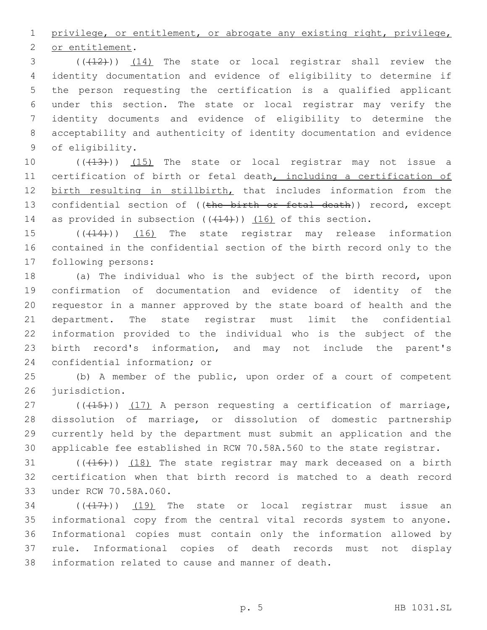1 privilege, or entitlement, or abrogate any existing right, privilege,

2 or entitlement.

3 (( $(12)$ )) (14) The state or local registrar shall review the identity documentation and evidence of eligibility to determine if the person requesting the certification is a qualified applicant under this section. The state or local registrar may verify the identity documents and evidence of eligibility to determine the acceptability and authenticity of identity documentation and evidence 9 of eligibility.

10 (( $(13)$ )) (15) The state or local registrar may not issue a 11 certification of birth or fetal death, including a certification of 12 birth resulting in stillbirth, that includes information from the 13 confidential section of ((the birth or fetal death)) record, except 14 as provided in subsection  $((+14))$   $(16)$  of this section.

15 (( $(14)$ )) (16) The state registrar may release information 16 contained in the confidential section of the birth record only to the 17 following persons:

 (a) The individual who is the subject of the birth record, upon confirmation of documentation and evidence of identity of the requestor in a manner approved by the state board of health and the department. The state registrar must limit the confidential information provided to the individual who is the subject of the birth record's information, and may not include the parent's 24 confidential information; or

25 (b) A member of the public, upon order of a court of competent 26 jurisdiction.

 $(115)$  (( $(15)$ )) (17) A person requesting a certification of marriage, dissolution of marriage, or dissolution of domestic partnership currently held by the department must submit an application and the applicable fee established in RCW 70.58A.560 to the state registrar.

 $(16)$  ( $(16)$ ))  $(18)$  The state registrar may mark deceased on a birth 32 certification when that birth record is matched to a death record 33 under RCW 70.58A.060.

 ( $(\overline{+17})$ )  $(19)$  The state or local registrar must issue an informational copy from the central vital records system to anyone. Informational copies must contain only the information allowed by rule. Informational copies of death records must not display 38 information related to cause and manner of death.